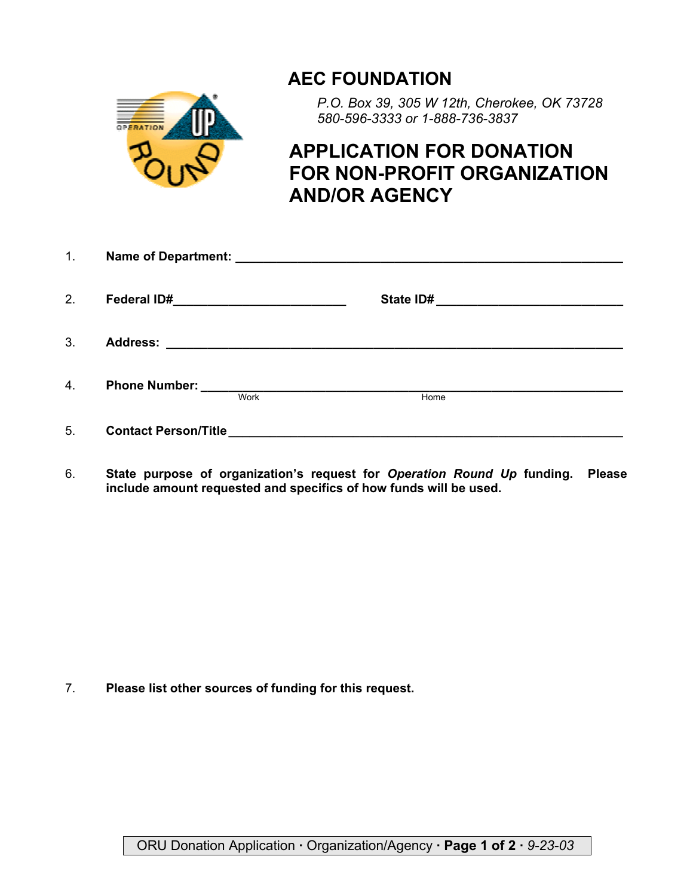## **AEC FOUNDATION**



*P.O. Box 39, 305 W 12th, Cherokee, OK 73728 580-596-3333 or 1-888-736-3837*

## **APPLICATION FOR DONATION FOR NON-PROFIT ORGANIZATION AND/OR AGENCY**

| 1. |                             |      |                                                                                                                       |
|----|-----------------------------|------|-----------------------------------------------------------------------------------------------------------------------|
| 2. |                             |      |                                                                                                                       |
| 3. |                             |      |                                                                                                                       |
| 4. |                             | Work | Home                                                                                                                  |
| 5. | <b>Contact Person/Title</b> |      | <u> 2000 - Jan Barat, prima din sebagai personal di personal dengan personal di personal di personal di personal </u> |

6. **State purpose of organization's request for** *Operation Round Up* **funding. Please include amount requested and specifics of how funds will be used.**

7. **Please list other sources of funding for this request.**